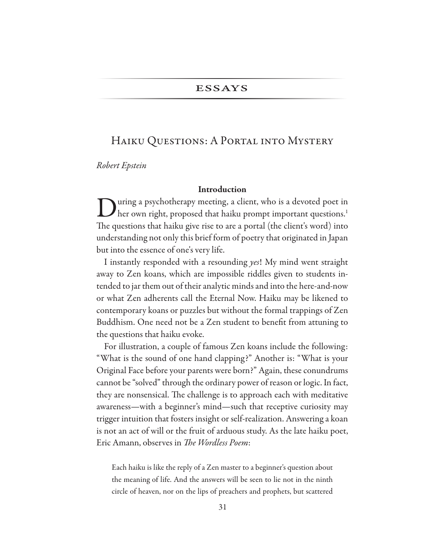# **ESSAYS**

# HAIKU QUESTIONS: A PORTAL INTO MYSTERY

*Robert Epstein*

#### Introduction

uring a psychotherapy meeting, a client, who is a devoted poet in her own right, proposed that haiku prompt important questions.<sup>1</sup> The questions that haiku give rise to are a portal (the client's word) into understanding not only this brief form of poetry that originated in Japan but into the essence of one's very life.

I instantly responded with a resounding *yes*! My mind went straight away to Zen koans, which are impossible riddles given to students intended to jar them out of their analytic minds and into the here-and-now or what Zen adherents call the Eternal Now. Haiku may be likened to contemporary koans or puzzles but without the formal trappings of Zen Buddhism. One need not be a Zen student to benefit from attuning to the questions that haiku evoke.

For illustration, a couple of famous Zen koans include the following: "What is the sound of one hand clapping?" Another is: "What is your Original Face before your parents were born?" Again, these conundrums cannot be "solved" through the ordinary power of reason or logic. In fact, they are nonsensical. The challenge is to approach each with meditative awareness—with a beginner's mind—such that receptive curiosity may trigger intuition that fosters insight or self-realization. Answering a koan is not an act of will or the fruit of arduous study. As the late haiku poet, Eric Amann, observes in *The Wordless Poem*:

Each haiku is like the reply of a Zen master to a beginner's question about the meaning of life. And the answers will be seen to lie not in the ninth circle of heaven, nor on the lips of preachers and prophets, but scattered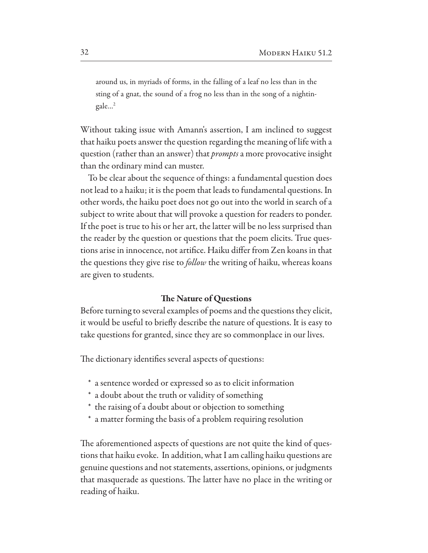around us, in myriads of forms, in the falling of a leaf no less than in the sting of a gnat, the sound of a frog no less than in the song of a nightingale…2

Without taking issue with Amann's assertion, I am inclined to suggest that haiku poets answer the question regarding the meaning of life with a question (rather than an answer) that *prompts* a more provocative insight than the ordinary mind can muster.

To be clear about the sequence of things: a fundamental question does not lead to a haiku; it is the poem that leads to fundamental questions. In other words, the haiku poet does not go out into the world in search of a subject to write about that will provoke a question for readers to ponder. If the poet is true to his or her art, the latter will be no less surprised than the reader by the question or questions that the poem elicits. True questions arise in innocence, not artifce. Haiku difer from Zen koans in that the questions they give rise to *follow* the writing of haiku, whereas koans are given to students.

#### The Nature of Questions

Before turning to several examples of poems and the questions they elicit, it would be useful to briefy describe the nature of questions. It is easy to take questions for granted, since they are so commonplace in our lives.

The dictionary identifies several aspects of questions:

- \* a sentence worded or expressed so as to elicit information
- \* a doubt about the truth or validity of something
- \* the raising of a doubt about or objection to something
- \* a matter forming the basis of a problem requiring resolution

The aforementioned aspects of questions are not quite the kind of questions that haiku evoke. In addition, what I am calling haiku questions are genuine questions and not statements, assertions, opinions, or judgments that masquerade as questions. The latter have no place in the writing or reading of haiku.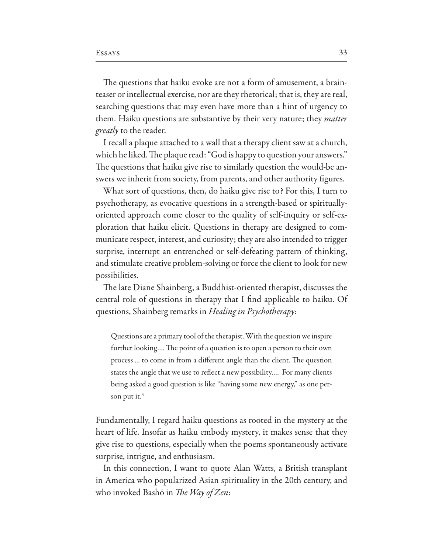The questions that haiku evoke are not a form of amusement, a brainteaser or intellectual exercise, nor are they rhetorical; that is, they are real, searching questions that may even have more than a hint of urgency to them. Haiku questions are substantive by their very nature; they *matter greatly* to the reader.

I recall a plaque attached to a wall that a therapy client saw at a church, which he liked. The plaque read: "God is happy to question your answers." The questions that haiku give rise to similarly question the would-be answers we inherit from society, from parents, and other authority fgures.

What sort of questions, then, do haiku give rise to? For this, I turn to psychotherapy, as evocative questions in a strength-based or spirituallyoriented approach come closer to the quality of self-inquiry or self-exploration that haiku elicit. Questions in therapy are designed to communicate respect, interest, and curiosity; they are also intended to trigger surprise, interrupt an entrenched or self-defeating pattern of thinking, and stimulate creative problem-solving or force the client to look for new possibilities.

The late Diane Shainberg, a Buddhist-oriented therapist, discusses the central role of questions in therapy that I find applicable to haiku. Of questions, Shainberg remarks in *Healing in Psychotherapy*:

Questions are a primary tool of the therapist. With the question we inspire further looking.... The point of a question is to open a person to their own process ... to come in from a different angle than the client. The question states the angle that we use to refect a new possibility…. For many clients being asked a good question is like "having some new energy," as one person put it. $3$ 

Fundamentally, I regard haiku questions as rooted in the mystery at the heart of life. Insofar as haiku embody mystery, it makes sense that they give rise to questions, especially when the poems spontaneously activate surprise, intrigue, and enthusiasm.

In this connection, I want to quote Alan Watts, a British transplant in America who popularized Asian spirituality in the 20th century, and who invoked Bashō in *The Way of Zen*: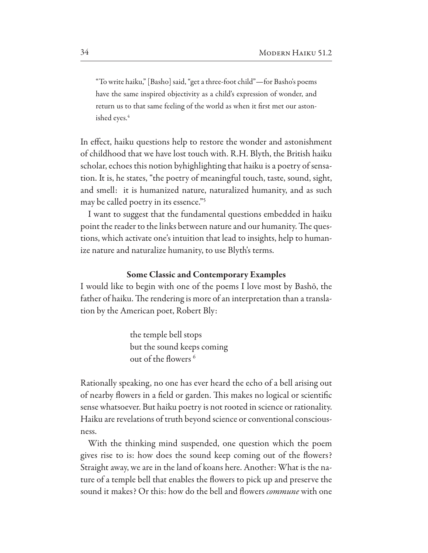"To write haiku," [Basho] said, "get a three-foot child"—for Basho's poems have the same inspired objectivity as a child's expression of wonder, and return us to that same feeling of the world as when it frst met our astonished eyes.

In effect, haiku questions help to restore the wonder and astonishment of childhood that we have lost touch with. R.H. Blyth, the British haiku scholar, echoes this notion byhighlighting that haiku is a poetry of sensation. It is, he states, "the poetry of meaningful touch, taste, sound, sight, and smell: it is humanized nature, naturalized humanity, and as such may be called poetry in its essence."5

I want to suggest that the fundamental questions embedded in haiku point the reader to the links between nature and our humanity. The questions, which activate one's intuition that lead to insights, help to humanize nature and naturalize humanity, to use Blyth's terms.

#### **Some Classic and Contemporary Examples**

I would like to begin with one of the poems I love most by Bashō, the father of haiku. The rendering is more of an interpretation than a translation by the American poet, Robert Bly:

> the temple bell stops but the sound keeps coming out of the flowers<sup>6</sup>

Rationally speaking, no one has ever heard the echo of a bell arising out of nearby flowers in a field or garden. This makes no logical or scientific sense whatsoever. But haiku poetry is not rooted in science or rationality. Haiku are revelations of truth beyond science or conventional consciousness.

With the thinking mind suspended, one question which the poem gives rise to is: how does the sound keep coming out of the fowers? Straight away, we are in the land of koans here. Another: What is the nature of a temple bell that enables the fowers to pick up and preserve the sound it makes? Or this: how do the bell and flowers *commune* with one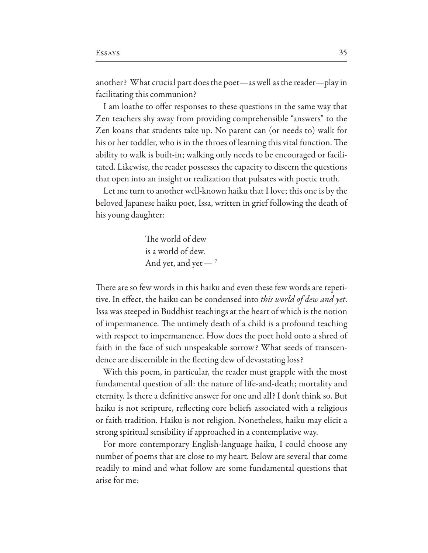another? What crucial part does the poet—as well as the reader—play in facilitating this communion?

I am loathe to offer responses to these questions in the same way that Zen teachers shy away from providing comprehensible "answers" to the Zen koans that students take up. No parent can (or needs to) walk for his or her toddler, who is in the throes of learning this vital function. The ability to walk is built-in; walking only needs to be encouraged or facilitated. Likewise, the reader possesses the capacity to discern the questions that open into an insight or realization that pulsates with poetic truth.

Let me turn to another well-known haiku that I love; this one is by the beloved Japanese haiku poet, Issa, written in grief following the death of his young daughter:

> The world of dew is a world of dew. And yet, and yet —  $^7$

There are so few words in this haiku and even these few words are repetitive. In efect, the haiku can be condensed into *this world of dew and yet*. Issa was steeped in Buddhist teachings at the heart of which is the notion of impermanence. The untimely death of a child is a profound teaching with respect to impermanence. How does the poet hold onto a shred of faith in the face of such unspeakable sorrow? What seeds of transcendence are discernible in the feeting dew of devastating loss?

With this poem, in particular, the reader must grapple with the most fundamental question of all: the nature of life-and-death; mortality and eternity. Is there a defnitive answer for one and all? I don't think so. But haiku is not scripture, refecting core beliefs associated with a religious or faith tradition. Haiku is not religion. Nonetheless, haiku may elicit a strong spiritual sensibility if approached in a contemplative way.

For more contemporary English-language haiku, I could choose any number of poems that are close to my heart. Below are several that come readily to mind and what follow are some fundamental questions that arise for me: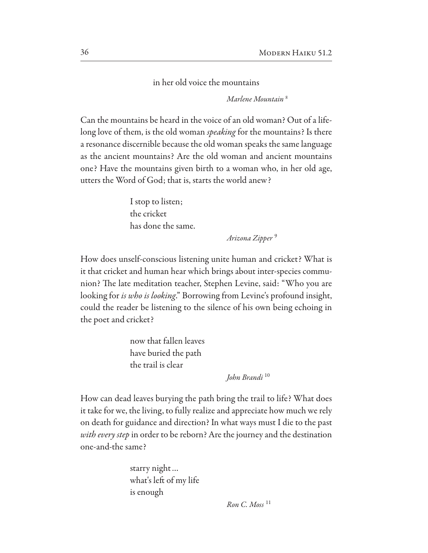in her old voice the mountains

*Marlene Mountain* <sup>8</sup>

Can the mountains be heard in the voice of an old woman? Out of a lifelong love of them, is the old woman *speaking* for the mountains? Is there a resonance discernible because the old woman speaks the same language as the ancient mountains? Are the old woman and ancient mountains one? Have the mountains given birth to a woman who, in her old age, utters the Word of God; that is, starts the world anew?

> I stop to listen; the cricket has done the same.

> > *Arizona Zipper* <sup>9</sup>

How does unself-conscious listening unite human and cricket? What is it that cricket and human hear which brings about inter-species communion? The late meditation teacher, Stephen Levine, said: "Who you are looking for *is who is looking*." Borrowing from Levine's profound insight, could the reader be listening to the silence of his own being echoing in the poet and cricket?

> now that fallen leaves have buried the path the trail is clear

> > *John Brandi* <sup>10</sup>

How can dead leaves burying the path bring the trail to life? What does it take for we, the living, to fully realize and appreciate how much we rely on death for guidance and direction? In what ways must I die to the past *with every step* in order to be reborn? Are the journey and the destination one-and-the same?

> starry night… what's left of my life is enough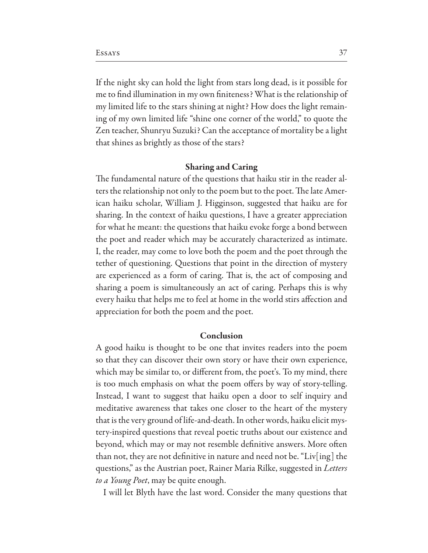If the night sky can hold the light from stars long dead, is it possible for me to fnd illumination in my own fniteness? What is the relationship of my limited life to the stars shining at night? How does the light remaining of my own limited life "shine one corner of the world," to quote the Zen teacher, Shunryu Suzuki? Can the acceptance of mortality be a light that shines as brightly as those of the stars?

#### **Sharing and Caring**

The fundamental nature of the questions that haiku stir in the reader alters the relationship not only to the poem but to the poet. The late American haiku scholar, William J. Higginson, suggested that haiku are for sharing. In the context of haiku questions, I have a greater appreciation for what he meant: the questions that haiku evoke forge a bond between the poet and reader which may be accurately characterized as intimate. I, the reader, may come to love both the poem and the poet through the tether of questioning. Questions that point in the direction of mystery are experienced as a form of caring. That is, the act of composing and sharing a poem is simultaneously an act of caring. Perhaps this is why every haiku that helps me to feel at home in the world stirs afection and appreciation for both the poem and the poet.

### Conclusion

A good haiku is thought to be one that invites readers into the poem so that they can discover their own story or have their own experience, which may be similar to, or diferent from, the poet's. To my mind, there is too much emphasis on what the poem offers by way of story-telling. Instead, I want to suggest that haiku open a door to self inquiry and meditative awareness that takes one closer to the heart of the mystery that is the very ground of life-and-death. In other words, haiku elicit mystery-inspired questions that reveal poetic truths about our existence and beyond, which may or may not resemble definitive answers. More often than not, they are not defnitive in nature and need not be. "Liv[ing] the questions," as the Austrian poet, Rainer Maria Rilke, suggested in *Letters to a Young Poet*, may be quite enough.

I will let Blyth have the last word. Consider the many questions that